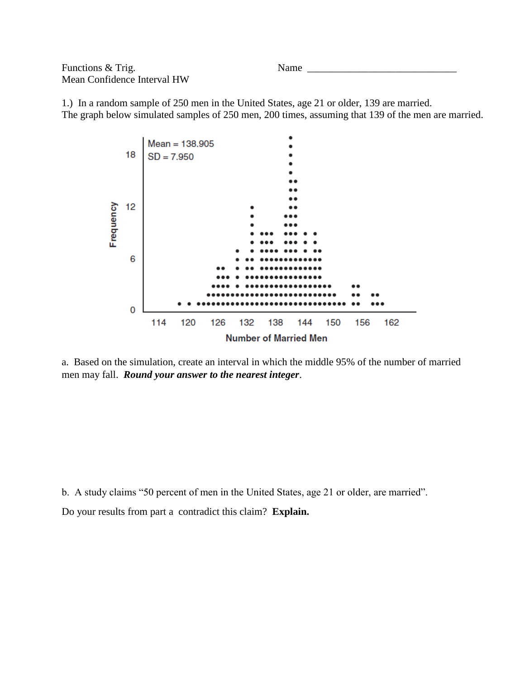Functions & Trig. Name \_\_\_\_\_\_\_\_\_\_\_\_\_\_\_\_\_\_\_\_\_\_\_\_\_\_\_\_\_ Mean Confidence Interval HW

1.) In a random sample of 250 men in the United States, age 21 or older, 139 are married. The graph below simulated samples of 250 men, 200 times, assuming that 139 of the men are married.



a. Based on the simulation, create an interval in which the middle 95% of the number of married men may fall. *Round your answer to the nearest integer*.

b. A study claims "50 percent of men in the United States, age 21 or older, are married".

Do your results from part a contradict this claim? **Explain.**